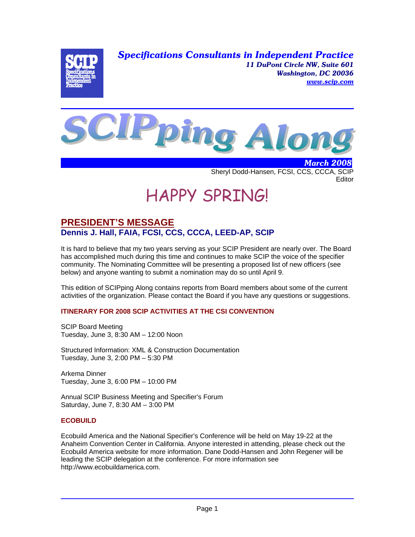*Specifications Consultants in Independent Practice 11 DuPont Circle NW, Suite 601 Washington, DC 20036 www.scip.com*





 *March 2008* Sheryl Dodd-Hansen, FCSI, CCS, CCCA, SCIP **Editor** 

# HAPPY SPRING!

# **PRESIDENT'S MESSAGE Dennis J. Hall, FAIA, FCSI, CCS, CCCA, LEED-AP, SCIP**

It is hard to believe that my two years serving as your SCIP President are nearly over. The Board has accomplished much during this time and continues to make SCIP the voice of the specifier community. The Nominating Committee will be presenting a proposed list of new officers (see below) and anyone wanting to submit a nomination may do so until April 9.

This edition of SCIPping Along contains reports from Board members about some of the current activities of the organization. Please contact the Board if you have any questions or suggestions.

#### **ITINERARY FOR 2008 SCIP ACTIVITIES AT THE CSI CONVENTION**

SCIP Board Meeting Tuesday, June 3, 8:30 AM – 12:00 Noon

Structured Information: XML & Construction Documentation Tuesday, June 3, 2:00 PM – 5:30 PM

Arkema Dinner Tuesday, June 3, 6:00 PM – 10:00 PM

Annual SCIP Business Meeting and Specifier's Forum Saturday, June 7, 8:30 AM – 3:00 PM

#### **ECOBUILD**

Ecobuild America and the National Specifier's Conference will be held on May 19-22 at the Anaheim Convention Center in California. Anyone interested in attending, please check out the Ecobuild America website for more information. Dane Dodd-Hansen and John Regener will be leading the SCIP delegation at the conference. For more information see http://www.ecobuildamerica.com.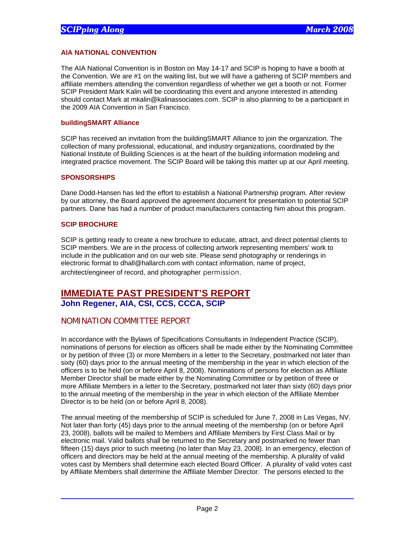#### **AIA NATIONAL CONVENTION**

The AIA National Convention is in Boston on May 14-17 and SCIP is hoping to have a booth at the Convention. We are #1 on the waiting list, but we will have a gathering of SCIP members and affiliate members attending the convention regardless of whether we get a booth or not. Former SCIP President Mark Kalin will be coordinating this event and anyone interested in attending should contact Mark at mkalin@kalinassociates.com. SCIP is also planning to be a participant in the 2009 AIA Convention in San Francisco.

#### **buildingSMART Alliance**

SCIP has received an invitation from the buildingSMART Alliance to join the organization. The collection of many professional, educational, and industry organizations, coordinated by the National Institute of Building Sciences is at the heart of the building information modeling and integrated practice movement. The SCIP Board will be taking this matter up at our April meeting.

#### **SPONSORSHIPS**

Dane Dodd-Hansen has led the effort to establish a National Partnership program. After review by our attorney, the Board approved the agreement document for presentation to potential SCIP partners. Dane has had a number of product manufacturers contacting him about this program.

#### **SCIP BROCHURE**

SCIP is getting ready to create a new brochure to educate, attract, and direct potential clients to SCIP members. We are in the process of collecting artwork representing members' work to include in the publication and on our web site. Please send photography or renderings in electronic format to dhall@hallarch.com with contact information, name of project, architect/engineer of record, and photographer permission.

### **IMMEDIATE PAST PRESIDENT'S REPORT John Regener, AIA, CSI, CCS, CCCA, SCIP**

#### NOMINATION COMMITTEE REPORT

In accordance with the Bylaws of Specifications Consultants in Independent Practice (SCIP), nominations of persons for election as officers shall be made either by the Nominating Committee or by petition of three (3) or more Members in a letter to the Secretary, postmarked not later than sixty (60) days prior to the annual meeting of the membership in the year in which election of the officers is to be held (on or before April 8, 2008). Nominations of persons for election as Affiliate Member Director shall be made either by the Nominating Committee or by petition of three or more Affiliate Members in a letter to the Secretary, postmarked not later than sixty (60) days prior to the annual meeting of the membership in the year in which election of the Affiliate Member Director is to be held (on or before April 8, 2008).

The annual meeting of the membership of SCIP is scheduled for June 7, 2008 in Las Vegas, NV. Not later than forty (45) days prior to the annual meeting of the membership (on or before April 23, 2008), ballots will be mailed to Members and Affiliate Members by First Class Mail or by electronic mail. Valid ballots shall be returned to the Secretary and postmarked no fewer than fifteen (15) days prior to such meeting (no later than May 23, 2008). In an emergency, election of officers and directors may be held at the annual meeting of the membership. A plurality of valid votes cast by Members shall determine each elected Board Officer. A plurality of valid votes cast by Affiliate Members shall determine the Affiliate Member Director. The persons elected to the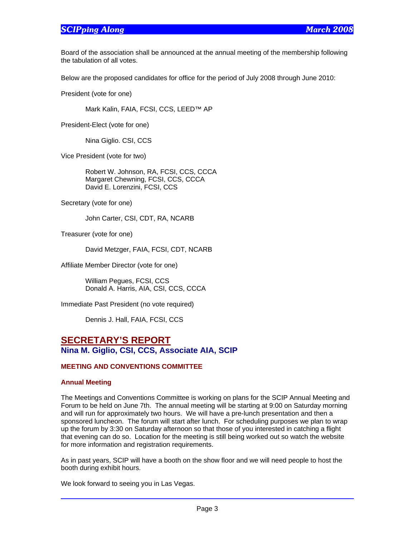## *SCIPping Along March 2008*

Board of the association shall be announced at the annual meeting of the membership following the tabulation of all votes.

Below are the proposed candidates for office for the period of July 2008 through June 2010:

President (vote for one)

Mark Kalin, FAIA, FCSI, CCS, LEED™ AP

President-Elect (vote for one)

Nina Giglio. CSI, CCS

Vice President (vote for two)

 Robert W. Johnson, RA, FCSI, CCS, CCCA Margaret Chewning, FCSI, CCS, CCCA David E. Lorenzini, FCSI, CCS

Secretary (vote for one)

John Carter, CSI, CDT, RA, NCARB

Treasurer (vote for one)

David Metzger, FAIA, FCSI, CDT, NCARB

Affiliate Member Director (vote for one)

 William Pegues, FCSI, CCS Donald A. Harris, AIA, CSI, CCS, CCCA

Immediate Past President (no vote required)

Dennis J. Hall, FAIA, FCSI, CCS

# **SECRETARY'S REPORT Nina M. Giglio, CSI, CCS, Associate AIA, SCIP**

#### **MEETING AND CONVENTIONS COMMITTEE**

#### **Annual Meeting**

The Meetings and Conventions Committee is working on plans for the SCIP Annual Meeting and Forum to be held on June 7th. The annual meeting will be starting at 9:00 on Saturday morning and will run for approximately two hours. We will have a pre-lunch presentation and then a sponsored luncheon. The forum will start after lunch. For scheduling purposes we plan to wrap up the forum by 3:30 on Saturday afternoon so that those of you interested in catching a flight that evening can do so. Location for the meeting is still being worked out so watch the website for more information and registration requirements.

As in past years, SCIP will have a booth on the show floor and we will need people to host the booth during exhibit hours.

We look forward to seeing you in Las Vegas.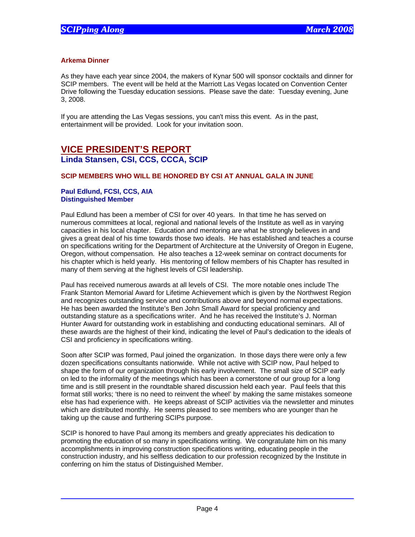#### **Arkema Dinner**

As they have each year since 2004, the makers of Kynar 500 will sponsor cocktails and dinner for SCIP members. The event will be held at the Marriott Las Vegas located on Convention Center Drive following the Tuesday education sessions. Please save the date: Tuesday evening, June 3, 2008.

If you are attending the Las Vegas sessions, you can't miss this event. As in the past, entertainment will be provided. Look for your invitation soon.

# **VICE PRESIDENT'S REPORT Linda Stansen, CSI, CCS, CCCA, SCIP**

#### **SCIP MEMBERS WHO WILL BE HONORED BY CSI AT ANNUAL GALA IN JUNE**

#### **Paul Edlund, FCSI, CCS, AIA Distinguished Member**

Paul Edlund has been a member of CSI for over 40 years. In that time he has served on numerous committees at local, regional and national levels of the Institute as well as in varying capacities in his local chapter. Education and mentoring are what he strongly believes in and gives a great deal of his time towards those two ideals. He has established and teaches a course on specifications writing for the Department of Architecture at the University of Oregon in Eugene, Oregon, without compensation. He also teaches a 12-week seminar on contract documents for his chapter which is held yearly. His mentoring of fellow members of his Chapter has resulted in many of them serving at the highest levels of CSI leadership.

Paul has received numerous awards at all levels of CSI. The more notable ones include The Frank Stanton Memorial Award for Lifetime Achievement which is given by the Northwest Region and recognizes outstanding service and contributions above and beyond normal expectations. He has been awarded the Institute's Ben John Small Award for special proficiency and outstanding stature as a specifications writer. And he has received the Institute's J. Norman Hunter Award for outstanding work in establishing and conducting educational seminars. All of these awards are the highest of their kind, indicating the level of Paul's dedication to the ideals of CSI and proficiency in specifications writing.

Soon after SCIP was formed, Paul joined the organization. In those days there were only a few dozen specifications consultants nationwide. While not active with SCIP now, Paul helped to shape the form of our organization through his early involvement. The small size of SCIP early on led to the informality of the meetings which has been a cornerstone of our group for a long time and is still present in the roundtable shared discussion held each year. Paul feels that this format still works; 'there is no need to reinvent the wheel' by making the same mistakes someone else has had experience with. He keeps abreast of SCIP activities via the newsletter and minutes which are distributed monthly. He seems pleased to see members who are younger than he taking up the cause and furthering SCIPs purpose.

SCIP is honored to have Paul among its members and greatly appreciates his dedication to promoting the education of so many in specifications writing. We congratulate him on his many accomplishments in improving construction specifications writing, educating people in the construction industry, and his selfless dedication to our profession recognized by the Institute in conferring on him the status of Distinguished Member.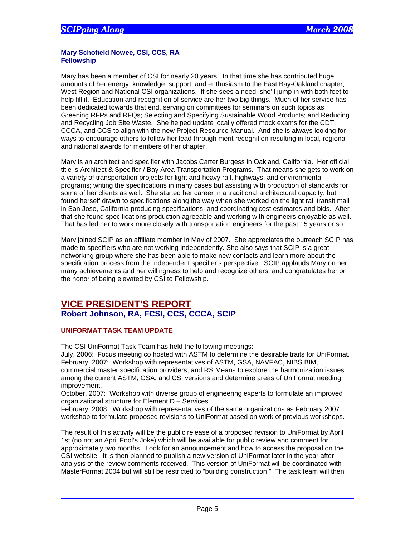#### **Mary Schofield Nowee, CSI, CCS, RA Fellowship**

Mary has been a member of CSI for nearly 20 years. In that time she has contributed huge amounts of her energy, knowledge, support, and enthusiasm to the East Bay-Oakland chapter, West Region and National CSI organizations. If she sees a need, she'll jump in with both feet to help fill it. Education and recognition of service are her two big things. Much of her service has been dedicated towards that end, serving on committees for seminars on such topics as Greening RFPs and RFQs; Selecting and Specifying Sustainable Wood Products; and Reducing and Recycling Job Site Waste. She helped update locally offered mock exams for the CDT, CCCA, and CCS to align with the new Project Resource Manual. And she is always looking for ways to encourage others to follow her lead through merit recognition resulting in local, regional and national awards for members of her chapter.

Mary is an architect and specifier with Jacobs Carter Burgess in Oakland, California. Her official title is Architect & Specifier / Bay Area Transportation Programs. That means she gets to work on a variety of transportation projects for light and heavy rail, highways, and environmental programs; writing the specifications in many cases but assisting with production of standards for some of her clients as well. She started her career in a traditional architectural capacity, but found herself drawn to specifications along the way when she worked on the light rail transit mall in San Jose, California producing specifications, and coordinating cost estimates and bids. After that she found specifications production agreeable and working with engineers enjoyable as well. That has led her to work more closely with transportation engineers for the past 15 years or so.

Mary joined SCIP as an affiliate member in May of 2007. She appreciates the outreach SCIP has made to specifiers who are not working independently. She also says that SCIP is a great networking group where she has been able to make new contacts and learn more about the specification process from the independent specifier's perspective. SCIP applauds Mary on her many achievements and her willingness to help and recognize others, and congratulates her on the honor of being elevated by CSI to Fellowship.

# **VICE PRESIDENT'S REPORT Robert Johnson, RA, FCSI, CCS, CCCA, SCIP**

#### **UNIFORMAT TASK TEAM UPDATE**

The CSI UniFormat Task Team has held the following meetings:

July, 2006: Focus meeting co hosted with ASTM to determine the desirable traits for UniFormat. February, 2007: Workshop with representatives of ASTM, GSA, NAVFAC, NIBS BIM,

commercial master specification providers, and RS Means to explore the harmonization issues among the current ASTM, GSA, and CSI versions and determine areas of UniFormat needing improvement.

October, 2007: Workshop with diverse group of engineering experts to formulate an improved organizational structure for Element D – Services.

February, 2008: Workshop with representatives of the same organizations as February 2007 workshop to formulate proposed revisions to UniFormat based on work of previous workshops.

The result of this activity will be the public release of a proposed revision to UniFormat by April 1st (no not an April Fool's Joke) which will be available for public review and comment for approximately two months. Look for an announcement and how to access the proposal on the CSI website. It is then planned to publish a new version of UniFormat later in the year after analysis of the review comments received. This version of UniFormat will be coordinated with MasterFormat 2004 but will still be restricted to "building construction." The task team will then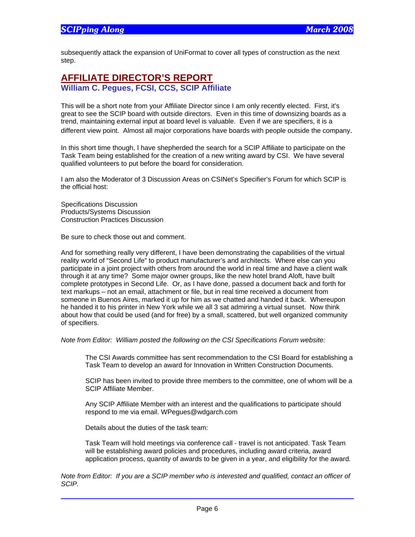subsequently attack the expansion of UniFormat to cover all types of construction as the next step.

# **AFFILIATE DIRECTOR'S REPORT William C. Pegues, FCSI, CCS, SCIP Affiliate**

This will be a short note from your Affiliate Director since I am only recently elected. First, it's great to see the SCIP board with outside directors. Even in this time of downsizing boards as a trend, maintaining external input at board level is valuable. Even if we are specifiers, it is a different view point. Almost all major corporations have boards with people outside the company.

In this short time though, I have shepherded the search for a SCIP Affiliate to participate on the Task Team being established for the creation of a new writing award by CSI. We have several qualified volunteers to put before the board for consideration.

I am also the Moderator of 3 Discussion Areas on CSINet's Specifier's Forum for which SCIP is the official host:

Specifications Discussion Products/Systems Discussion Construction Practices Discussion

Be sure to check those out and comment.

And for something really very different, I have been demonstrating the capabilities of the virtual reality world of "Second Life" to product manufacturer's and architects. Where else can you participate in a joint project with others from around the world in real time and have a client walk through it at any time? Some major owner groups, like the new hotel brand Aloft, have built complete prototypes in Second Life. Or, as I have done, passed a document back and forth for text markups – not an email, attachment or file, but in real time received a document from someone in Buenos Aires, marked it up for him as we chatted and handed it back. Whereupon he handed it to his printer in New York while we all 3 sat admiring a virtual sunset. Now think about how that could be used (and for free) by a small, scattered, but well organized community of specifiers.

*Note from Editor: William posted the following on the CSI Specifications Forum website:* 

The CSI Awards committee has sent recommendation to the CSI Board for establishing a Task Team to develop an award for Innovation in Written Construction Documents.

SCIP has been invited to provide three members to the committee, one of whom will be a SCIP Affiliate Member.

Any SCIP Affiliate Member with an interest and the qualifications to participate should respond to me via email. WPegues@wdgarch.com

Details about the duties of the task team:

Task Team will hold meetings via conference call - travel is not anticipated. Task Team will be establishing award policies and procedures, including award criteria, award application process, quantity of awards to be given in a year, and eligibility for the award*.* 

*Note from Editor: If you are a SCIP member who is interested and qualified, contact an officer of SCIP.*